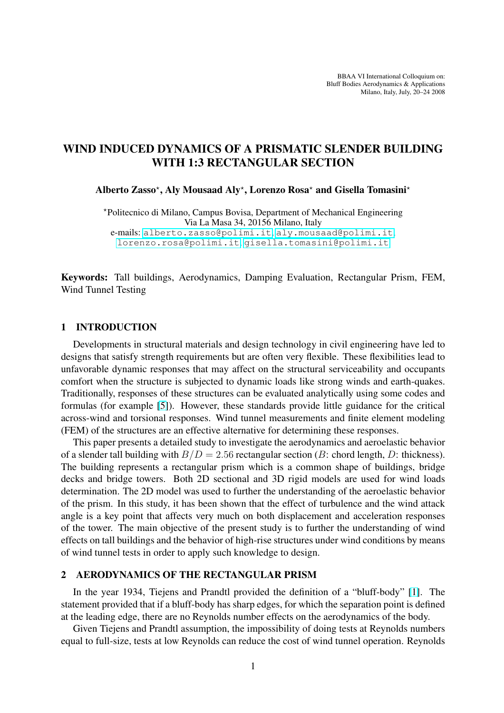# WIND INDUCED DYNAMICS OF A PRISMATIC SLENDER BUILDING WITH 1:3 RECTANGULAR SECTION

Alberto Zasso\*, Aly Mousaad Aly\*, Lorenzo Rosa\* and Gisella Tomasini\*

?Politecnico di Milano, Campus Bovisa, Department of Mechanical Engineering Via La Masa 34, 20156 Milano, Italy e-mails: alberto.zasso@polimi.it, aly.mousaad@polimi.it, lorenzo.rosa@polimi.it, gisella.tomasini@polimi.it

Keywords: [Tall b](lorenzo.rosa@polimi.it)[uildings, Aerodynamics, Dampi](alberto.zasso@polimi.it)[ng Evaluation, Rectangular P](aly.mousaad@polimi.it)rism, FEM, Wind Tunnel Testing

## 1 INTRODUCTION

Developments in structural materials and design technology in civil engineering have led to designs that satisfy strength requirements but are often very flexible. These flexibilities lead to unfavorable dynamic responses that may affect on the structural serviceability and occupants comfort when the structure is subjected to dynamic loads like strong winds and earth-quakes. Traditionally, responses of these structures can be evaluated analytically using some codes and formulas (for example [5]). However, these standards provide little guidance for the critical across-wind and torsional responses. Wind tunnel measurements and finite element modeling (FEM) of the structures are an effective alternative for determining these responses.

This paper presents a [de](#page-3-0)tailed study to investigate the aerodynamics and aeroelastic behavior of a slender tall building with  $B/D = 2.56$  rectangular section (B: chord length, D: thickness). The building represents a rectangular prism which is a common shape of buildings, bridge decks and bridge towers. Both 2D sectional and 3D rigid models are used for wind loads determination. The 2D model was used to further the understanding of the aeroelastic behavior of the prism. In this study, it has been shown that the effect of turbulence and the wind attack angle is a key point that affects very much on both displacement and acceleration responses of the tower. The main objective of the present study is to further the understanding of wind effects on tall buildings and the behavior of high-rise structures under wind conditions by means of wind tunnel tests in order to apply such knowledge to design.

## 2 AERODYNAMICS OF THE RECTANGULAR PRISM

In the year 1934, Tiejens and Prandtl provided the definition of a "bluff-body" [1]. The statement provided that if a bluff-body has sharp edges, for which the separation point is defined at the leading edge, there are no Reynolds number effects on the aerodynamics of the body.

Given Tiejens and Prandtl assumption, the impossibility of doing tests at Reynolds [nu](#page-3-0)mbers equal to full-size, tests at low Reynolds can reduce the cost of wind tunnel operation. Reynolds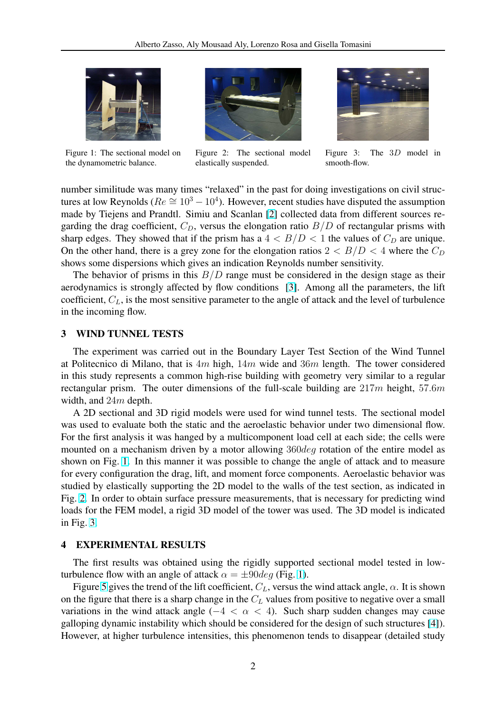

Figure 1: The sectional model on the dynamometric balance.



Figure 2: The sectional model elastically suspended.



Figure 3: The 3D model in smooth-flow.

number similitude was many times "relaxed" in the past for doing investigations on civil structures at low Reynolds ( $Re \approx 10^3 - 10^4$ ). However, recent studies have disputed the assumption made by Tiejens and Prandtl. Simiu and Scanlan [2] collected data from different sources regarding the drag coefficient,  $C_D$ , versus the elongation ratio  $B/D$  of rectangular prisms with sharp edges. They showed that if the prism has a  $4 < B/D < 1$  the values of  $C_D$  are unique. On the other hand, there is a grey zone for the elo[ng](#page-3-0)ation ratios  $2 < B/D < 4$  where the  $C_D$ shows some dispersions which gives an indication Reynolds number sensitivity.

The behavior of prisms in this  $B/D$  range must be considered in the design stage as their aerodynamics is strongly affected by flow conditions [3]. Among all the parameters, the lift coefficient,  $C_L$ , is the most sensitive parameter to the angle of attack and the level of turbulence in the incoming flow.

## 3 WIND TUNNEL TESTS

The experiment was carried out in the Boundary Layer Test Section of the Wind Tunnel at Politecnico di Milano, that is  $4m$  high,  $14m$  wide and  $36m$  length. The tower considered in this study represents a common high-rise building with geometry very similar to a regular rectangular prism. The outer dimensions of the full-scale building are  $217m$  height, 57.6m width, and 24m depth.

A 2D sectional and 3D rigid models were used for wind tunnel tests. The sectional model was used to evaluate both the static and the aeroelastic behavior under two dimensional flow. For the first analysis it was hanged by a multicomponent load cell at each side; the cells were mounted on a mechanism driven by a motor allowing 360deg rotation of the entire model as shown on Fig. 1. In this manner it was possible to change the angle of attack and to measure for every configuration the drag, lift, and moment force components. Aeroelastic behavior was studied by elastically supporting the 2D model to the walls of the test section, as indicated in Fig. 2. In order to obtain surface pressure measurements, that is necessary for predicting wind loads for the FEM model, a rigid 3D model of the tower was used. The 3D model is indicated in Fig. 3.

## 4 EXPERIMENTAL RESULTS

The first results was obtained using the rigidly supported sectional model tested in lowturbulence flow with an angle of attack  $\alpha = \pm 90 \text{deg}$  (Fig. 1).

Figure 5 gives the trend of the lift coefficient,  $C_L$ , versus the wind attack angle,  $\alpha$ . It is shown on the figure that there is a sharp change in the  $C<sub>L</sub>$  values from positive to negative over a small variations in the wind attack angle ( $-4 < \alpha < 4$ ). Such sharp sudden changes may cause galloping [dy](#page-2-0)namic instability which should be considered for the design of such structures [4]). However, at higher turbulence intensities, this phenomenon tends to disappear (detailed study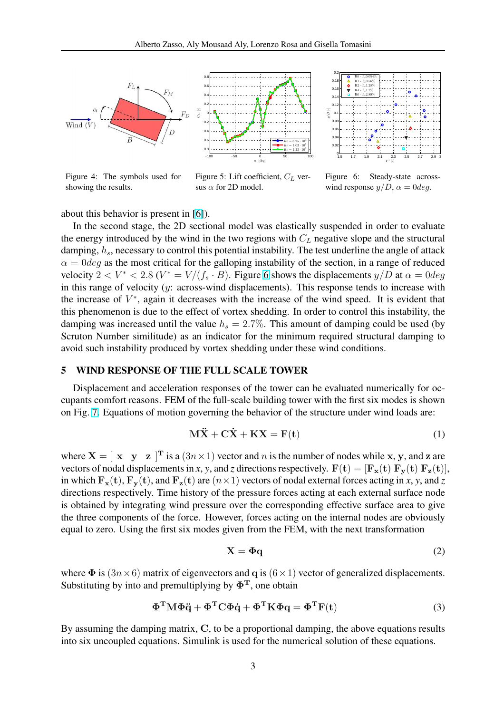<span id="page-2-0"></span>



Figure 4: The symbols used for showing the results.

Figure 5: Lift coefficient,  $C_L$  versus  $\alpha$  for 2D model.

Figure 6: Steady-state acrosswind response  $y/D$ ,  $\alpha = 0$ deg.

about this behavior is present in [6]).

In the second stage, the 2D sectional model was elastically suspended in order to evaluate the energy introduced by the wind in the two regions with  $C<sub>L</sub>$  negative slope and the structural damping,  $h_s$ , necessary to contro[l th](#page-3-0)is potential instability. The test underline the angle of attack  $\alpha = 0$ deg as the most critical for the galloping instability of the section, in a range of reduced velocity 2 <  $V^*$  < 2.8 ( $V^* = V/(f_s \cdot B)$ ). Figure 6 shows the displacements  $y/D$  at  $\alpha = 0$  deg in this range of velocity (y: across-wind displacements). This response tends to increase with the increase of  $V^*$ , again it decreases with the increase of the wind speed. It is evident that this phenomenon is due to the effect of vortex shedding. In order to control this instability, the damping was increased until the value  $h_s = 2.7\%$ . This amount of damping could be used (by Scruton Number similitude) as an indicator for the minimum required structural damping to avoid such instability produced by vortex shedding under these wind conditions.

## 5 WIND RESPONSE OF THE FULL SCALE TOWER

Displacement and acceleration responses of the tower can be evaluated numerically for occupants comfort reasons. FEM of the full-scale building tower with the first six modes is shown on Fig. 7. Equations of motion governing the behavior of the structure under wind loads are:

$$
\mathbf{M}\ddot{\mathbf{X}} + \mathbf{C}\dot{\mathbf{X}} + \mathbf{K}\mathbf{X} = \mathbf{F}(\mathbf{t})
$$
 (1)

where  $X = [\begin{array}{cc} x & y & z \end{array}]^T$  $X = [\begin{array}{cc} x & y & z \end{array}]^T$  is a  $(3n \times 1)$  vector and n is the number of nodes while x, y, and z are vectors of nodal displacements in *x*, *y*, and *z* directions respectively.  $F(t) = [F_x(t) F_y(t) F_z(t)]$ , in which  $\mathbf{F}_{\mathbf{x}}(\mathbf{t}), \mathbf{F}_{\mathbf{y}}(\mathbf{t})$ , and  $\mathbf{F}_{\mathbf{z}}(\mathbf{t})$  are  $(n \times 1)$  vectors of nodal external forces acting in *x*, *y*, and *z* directions respectively. Time history of the pressure forces acting at each external surface node is obtained by integrating wind pressure over the corresponding effective surface area to give the three components of the force. However, forces acting on the internal nodes are obviously equal to zero. Using the first six modes given from the FEM, with the next transformation

$$
X = \Phi q \tag{2}
$$

where  $\Phi$  is  $(3n \times 6)$  matrix of eigenvectors and q is  $(6 \times 1)$  vector of generalized displacements. Substituting by into and premultiplying by  $\Phi$ <sup>T</sup>, one obtain

$$
\Phi^{\mathrm{T}} M \Phi \ddot{q} + \Phi^{\mathrm{T}} C \Phi \dot{q} + \Phi^{\mathrm{T}} K \Phi q = \Phi^{\mathrm{T}} F(t)
$$
\n(3)

By assuming the damping matrix, C, to be a proportional damping, the above equations results into six uncoupled equations. Simulink is used for the numerical solution of these equations.